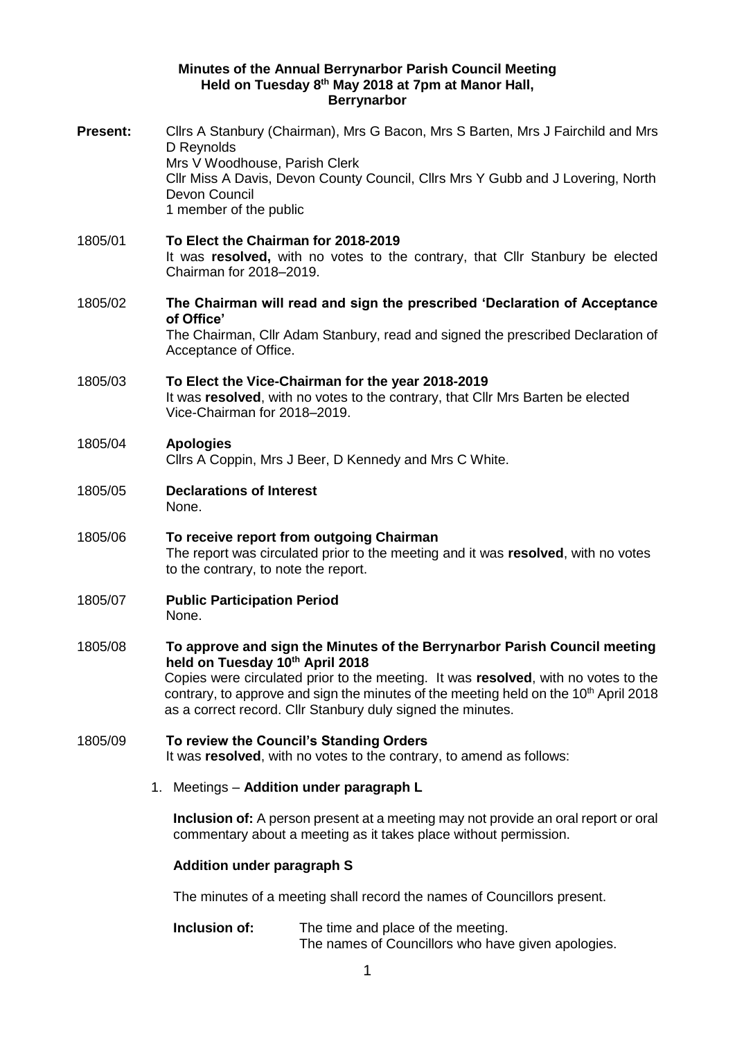## **Minutes of the Annual Berrynarbor Parish Council Meeting Held on Tuesday 8 th May 2018 at 7pm at Manor Hall, Berrynarbor**

| <b>Present:</b> | Cllrs A Stanbury (Chairman), Mrs G Bacon, Mrs S Barten, Mrs J Fairchild and Mrs<br>D Reynolds<br>Mrs V Woodhouse, Parish Clerk<br>CIIr Miss A Davis, Devon County Council, CIIrs Mrs Y Gubb and J Lovering, North<br>Devon Council<br>1 member of the public                                                                                                          |
|-----------------|-----------------------------------------------------------------------------------------------------------------------------------------------------------------------------------------------------------------------------------------------------------------------------------------------------------------------------------------------------------------------|
| 1805/01         | To Elect the Chairman for 2018-2019<br>It was resolved, with no votes to the contrary, that Cllr Stanbury be elected<br>Chairman for 2018-2019.                                                                                                                                                                                                                       |
| 1805/02         | The Chairman will read and sign the prescribed 'Declaration of Acceptance<br>of Office'<br>The Chairman, Cllr Adam Stanbury, read and signed the prescribed Declaration of<br>Acceptance of Office.                                                                                                                                                                   |
| 1805/03         | To Elect the Vice-Chairman for the year 2018-2019<br>It was resolved, with no votes to the contrary, that Cllr Mrs Barten be elected<br>Vice-Chairman for 2018-2019.                                                                                                                                                                                                  |
| 1805/04         | <b>Apologies</b><br>Cllrs A Coppin, Mrs J Beer, D Kennedy and Mrs C White.                                                                                                                                                                                                                                                                                            |
| 1805/05         | <b>Declarations of Interest</b><br>None.                                                                                                                                                                                                                                                                                                                              |
| 1805/06         | To receive report from outgoing Chairman<br>The report was circulated prior to the meeting and it was resolved, with no votes<br>to the contrary, to note the report.                                                                                                                                                                                                 |
| 1805/07         | <b>Public Participation Period</b><br>None.                                                                                                                                                                                                                                                                                                                           |
| 1805/08         | To approve and sign the Minutes of the Berrynarbor Parish Council meeting<br>held on Tuesday 10th April 2018<br>Copies were circulated prior to the meeting. It was resolved, with no votes to the<br>contrary, to approve and sign the minutes of the meeting held on the 10 <sup>th</sup> April 2018<br>as a correct record. Cllr Stanbury duly signed the minutes. |
| 1805/09         | To review the Council's Standing Orders<br>It was resolved, with no votes to the contrary, to amend as follows:                                                                                                                                                                                                                                                       |
|                 | 1. Meetings - Addition under paragraph L                                                                                                                                                                                                                                                                                                                              |
|                 | <b>Inclusion of:</b> A person present at a meeting may not provide an oral report or oral<br>commentary about a meeting as it takes place without permission.                                                                                                                                                                                                         |
|                 | <b>Addition under paragraph S</b>                                                                                                                                                                                                                                                                                                                                     |
|                 | The minutes of a meeting shall record the names of Councillors present.                                                                                                                                                                                                                                                                                               |
|                 | Inclusion of:<br>The time and place of the meeting.                                                                                                                                                                                                                                                                                                                   |

The names of Councillors who have given apologies.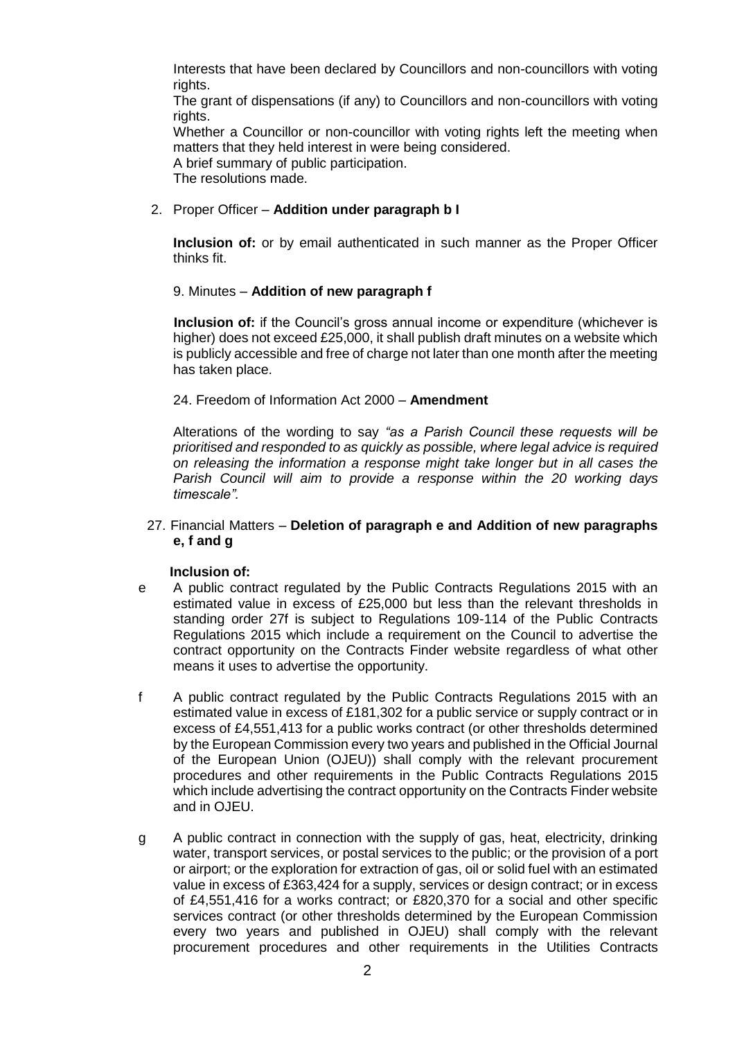Interests that have been declared by Councillors and non-councillors with voting rights.

The grant of dispensations (if any) to Councillors and non-councillors with voting rights.

Whether a Councillor or non-councillor with voting rights left the meeting when matters that they held interest in were being considered.

A brief summary of public participation.

The resolutions made.

## 2. Proper Officer – **Addition under paragraph b I**

**Inclusion of:** or by email authenticated in such manner as the Proper Officer thinks fit.

## 9. Minutes – **Addition of new paragraph f**

**Inclusion of:** if the Council's gross annual income or expenditure (whichever is higher) does not exceed £25,000, it shall publish draft minutes on a website which is publicly accessible and free of charge not later than one month after the meeting has taken place.

## 24. Freedom of Information Act 2000 – **Amendment**

Alterations of the wording to say *"as a Parish Council these requests will be prioritised and responded to as quickly as possible, where legal advice is required on releasing the information a response might take longer but in all cases the Parish Council will aim to provide a response within the 20 working days timescale".* 

27. Financial Matters – **Deletion of paragraph e and Addition of new paragraphs e, f and g**

## **Inclusion of:**

- e A public contract regulated by the Public Contracts Regulations 2015 with an estimated value in excess of £25,000 but less than the relevant thresholds in standing order 27f is subject to Regulations 109-114 of the Public Contracts Regulations 2015 which include a requirement on the Council to advertise the contract opportunity on the Contracts Finder website regardless of what other means it uses to advertise the opportunity.
- f A public contract regulated by the Public Contracts Regulations 2015 with an estimated value in excess of £181,302 for a public service or supply contract or in excess of £4,551,413 for a public works contract (or other thresholds determined by the European Commission every two years and published in the Official Journal of the European Union (OJEU)) shall comply with the relevant procurement procedures and other requirements in the Public Contracts Regulations 2015 which include advertising the contract opportunity on the Contracts Finder website and in OJEU.
- g A public contract in connection with the supply of gas, heat, electricity, drinking water, transport services, or postal services to the public; or the provision of a port or airport; or the exploration for extraction of gas, oil or solid fuel with an estimated value in excess of £363,424 for a supply, services or design contract; or in excess of £4,551,416 for a works contract; or £820,370 for a social and other specific services contract (or other thresholds determined by the European Commission every two years and published in OJEU) shall comply with the relevant procurement procedures and other requirements in the Utilities Contracts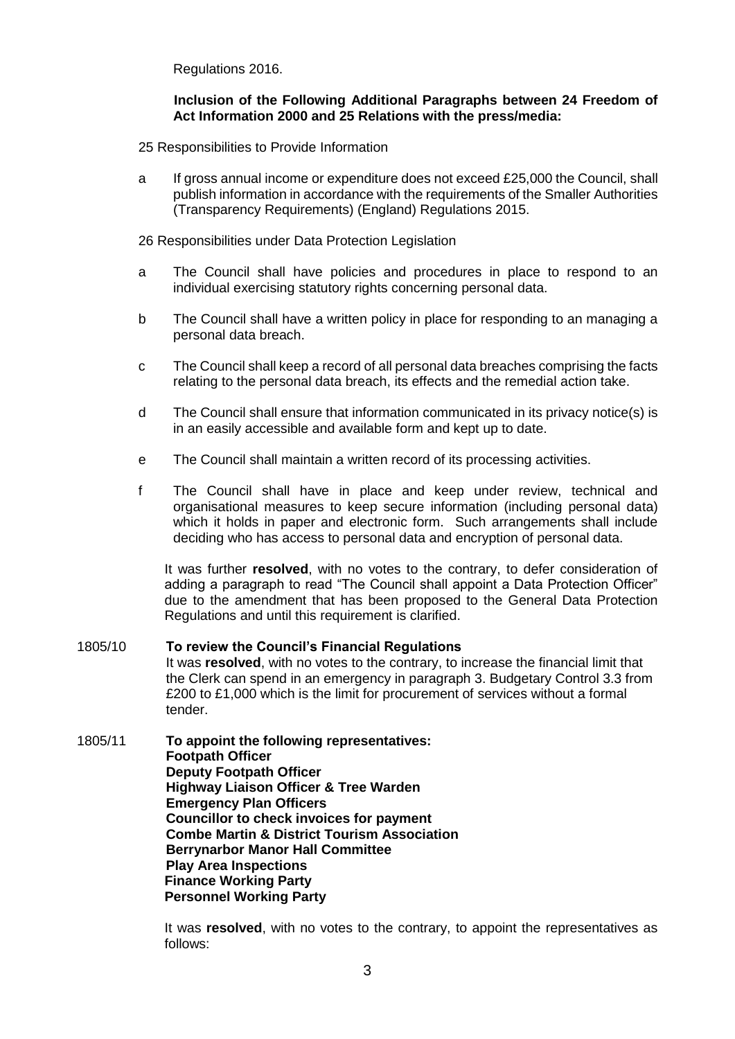Regulations 2016.

### **Inclusion of the Following Additional Paragraphs between 24 Freedom of Act Information 2000 and 25 Relations with the press/media:**

- 25 Responsibilities to Provide Information
- a If gross annual income or expenditure does not exceed £25,000 the Council, shall publish information in accordance with the requirements of the Smaller Authorities (Transparency Requirements) (England) Regulations 2015.

26 Responsibilities under Data Protection Legislation

- a The Council shall have policies and procedures in place to respond to an individual exercising statutory rights concerning personal data.
- b The Council shall have a written policy in place for responding to an managing a personal data breach.
- c The Council shall keep a record of all personal data breaches comprising the facts relating to the personal data breach, its effects and the remedial action take.
- d The Council shall ensure that information communicated in its privacy notice(s) is in an easily accessible and available form and kept up to date.
- e The Council shall maintain a written record of its processing activities.
- f The Council shall have in place and keep under review, technical and organisational measures to keep secure information (including personal data) which it holds in paper and electronic form. Such arrangements shall include deciding who has access to personal data and encryption of personal data.

It was further **resolved**, with no votes to the contrary, to defer consideration of adding a paragraph to read "The Council shall appoint a Data Protection Officer" due to the amendment that has been proposed to the General Data Protection Regulations and until this requirement is clarified.

#### 1805/10 **To review the Council's Financial Regulations**  It was **resolved**, with no votes to the contrary, to increase the financial limit that the Clerk can spend in an emergency in paragraph 3. Budgetary Control 3.3 from £200 to £1,000 which is the limit for procurement of services without a formal tender.

1805/11 **To appoint the following representatives: Footpath Officer Deputy Footpath Officer Highway Liaison Officer & Tree Warden Emergency Plan Officers Councillor to check invoices for payment Combe Martin & District Tourism Association Berrynarbor Manor Hall Committee Play Area Inspections Finance Working Party Personnel Working Party**

> It was **resolved**, with no votes to the contrary, to appoint the representatives as follows: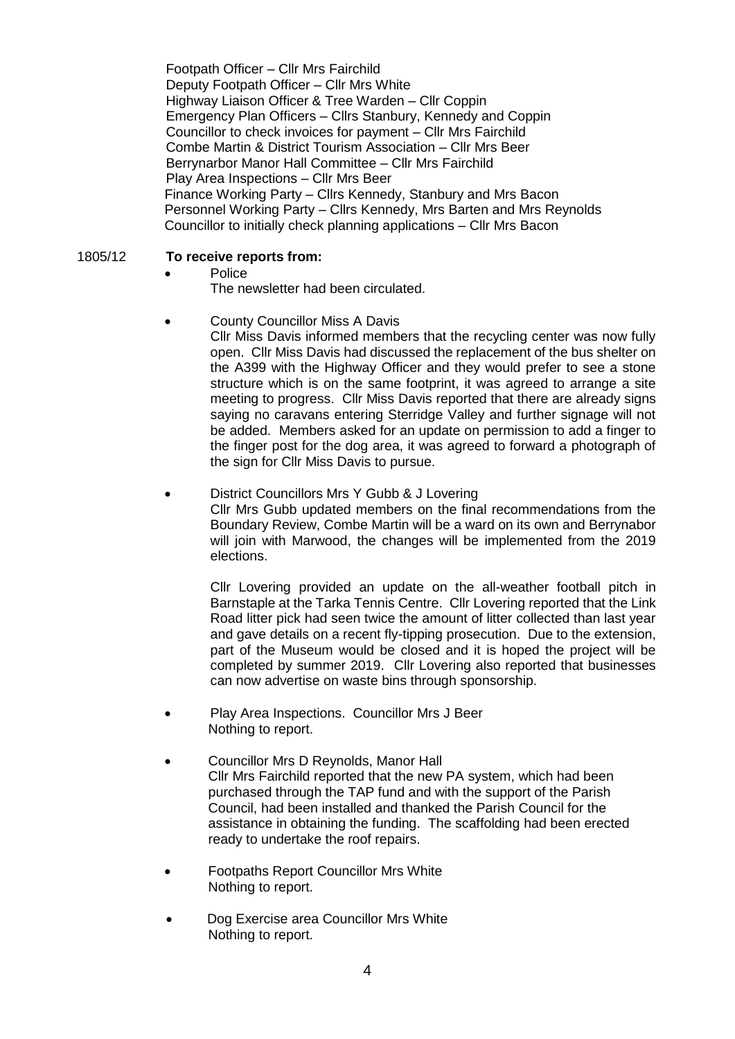Footpath Officer – Cllr Mrs Fairchild Deputy Footpath Officer – Cllr Mrs White Highway Liaison Officer & Tree Warden – Cllr Coppin Emergency Plan Officers – Cllrs Stanbury, Kennedy and Coppin Councillor to check invoices for payment – Cllr Mrs Fairchild Combe Martin & District Tourism Association – Cllr Mrs Beer Berrynarbor Manor Hall Committee – Cllr Mrs Fairchild Play Area Inspections – Cllr Mrs Beer Finance Working Party – Cllrs Kennedy, Stanbury and Mrs Bacon Personnel Working Party – Cllrs Kennedy, Mrs Barten and Mrs Reynolds Councillor to initially check planning applications – Cllr Mrs Bacon

## 1805/12 **To receive reports from:**

## • Police

The newsletter had been circulated.

## County Councillor Miss A Davis

Cllr Miss Davis informed members that the recycling center was now fully open. Cllr Miss Davis had discussed the replacement of the bus shelter on the A399 with the Highway Officer and they would prefer to see a stone structure which is on the same footprint, it was agreed to arrange a site meeting to progress. Cllr Miss Davis reported that there are already signs saying no caravans entering Sterridge Valley and further signage will not be added. Members asked for an update on permission to add a finger to the finger post for the dog area, it was agreed to forward a photograph of the sign for Cllr Miss Davis to pursue.

# District Councillors Mrs Y Gubb & J Lovering Cllr Mrs Gubb updated members on the final recommendations from the

Boundary Review, Combe Martin will be a ward on its own and Berrynabor will join with Marwood, the changes will be implemented from the 2019 elections.

Cllr Lovering provided an update on the all-weather football pitch in Barnstaple at the Tarka Tennis Centre. Cllr Lovering reported that the Link Road litter pick had seen twice the amount of litter collected than last year and gave details on a recent fly-tipping prosecution. Due to the extension, part of the Museum would be closed and it is hoped the project will be completed by summer 2019. Cllr Lovering also reported that businesses can now advertise on waste bins through sponsorship.

- Play Area Inspections. Councillor Mrs J Beer Nothing to report.
- Councillor Mrs D Reynolds, Manor Hall Cllr Mrs Fairchild reported that the new PA system, which had been purchased through the TAP fund and with the support of the Parish Council, had been installed and thanked the Parish Council for the assistance in obtaining the funding. The scaffolding had been erected ready to undertake the roof repairs.
- Footpaths Report Councillor Mrs White Nothing to report.
- Dog Exercise area Councillor Mrs White Nothing to report.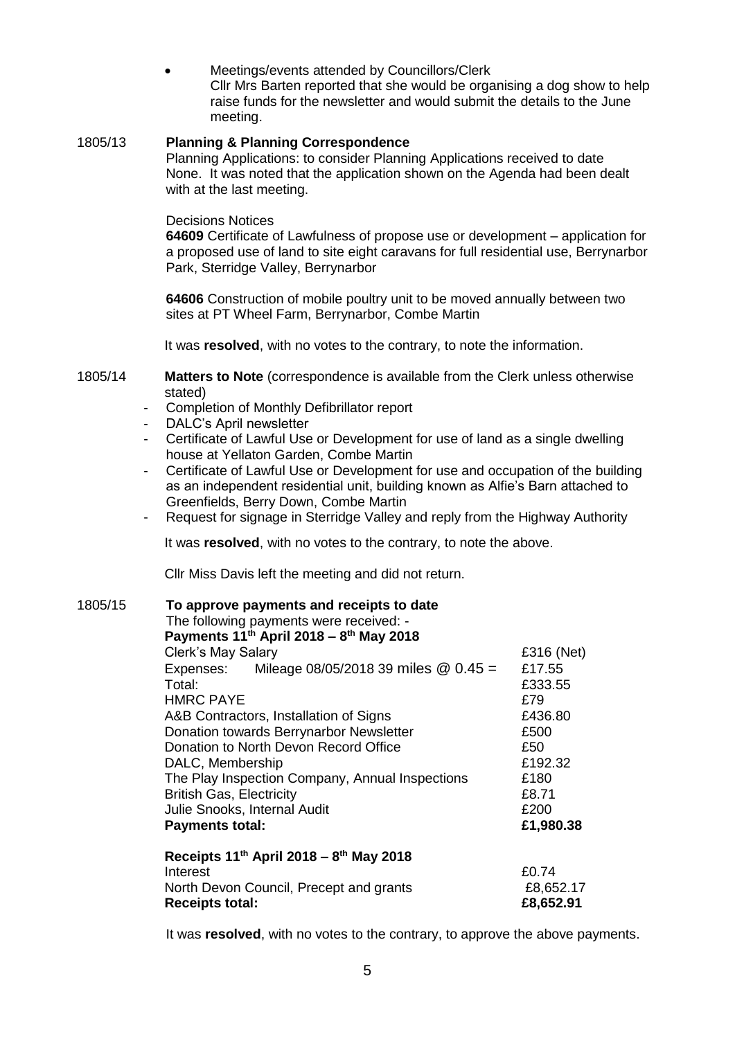Meetings/events attended by Councillors/Clerk Cllr Mrs Barten reported that she would be organising a dog show to help raise funds for the newsletter and would submit the details to the June meeting.

## 1805/13 **Planning & Planning Correspondence**

Planning Applications: to consider Planning Applications received to date None. It was noted that the application shown on the Agenda had been dealt with at the last meeting.

#### Decisions Notices

**64609** Certificate of Lawfulness of propose use or development – application for a proposed use of land to site eight caravans for full residential use, Berrynarbor Park, Sterridge Valley, Berrynarbor

**64606** Construction of mobile poultry unit to be moved annually between two sites at PT Wheel Farm, Berrynarbor, Combe Martin

It was **resolved**, with no votes to the contrary, to note the information.

- 1805/14 **Matters to Note** (correspondence is available from the Clerk unless otherwise stated)
	- Completion of Monthly Defibrillator report
	- DALC's April newsletter
	- Certificate of Lawful Use or Development for use of land as a single dwelling house at Yellaton Garden, Combe Martin
	- Certificate of Lawful Use or Development for use and occupation of the building as an independent residential unit, building known as Alfie's Barn attached to Greenfields, Berry Down, Combe Martin
	- Request for signage in Sterridge Valley and reply from the Highway Authority

It was **resolved**, with no votes to the contrary, to note the above.

Cllr Miss Davis left the meeting and did not return.

1805/15 **To approve payments and receipts to date**  The following payments were received: - **Payments 11th April 2018 – 8 th May 2018**  Clerk's May Salary **E316** (Net) Expenses: Mileage 08/05/2018 39 miles @ 0.45 = £17.55<br>Total: £333.5 Total: £333.55 HMRC PAYE A&B Contractors, Installation of Signs E436.80 Donation towards Berrynarbor Newsletter **E500** Donation to North Devon Record Office **E50** DALC, Membership  $£192.32$ The Play Inspection Company, Annual Inspections £180 British Gas, Electricity **EXALL EXAMPLE 1999** Julie Snooks, Internal Audit **EXACTER EXACTER** E200 **Payments total: £1,980.38 Receipts 11th April 2018 – 8 th May 2018** Interest **EQ.74** North Devon Council, Precept and grants E8,652.17

It was **resolved**, with no votes to the contrary, to approve the above payments.

**Receipts total: £8,652.91**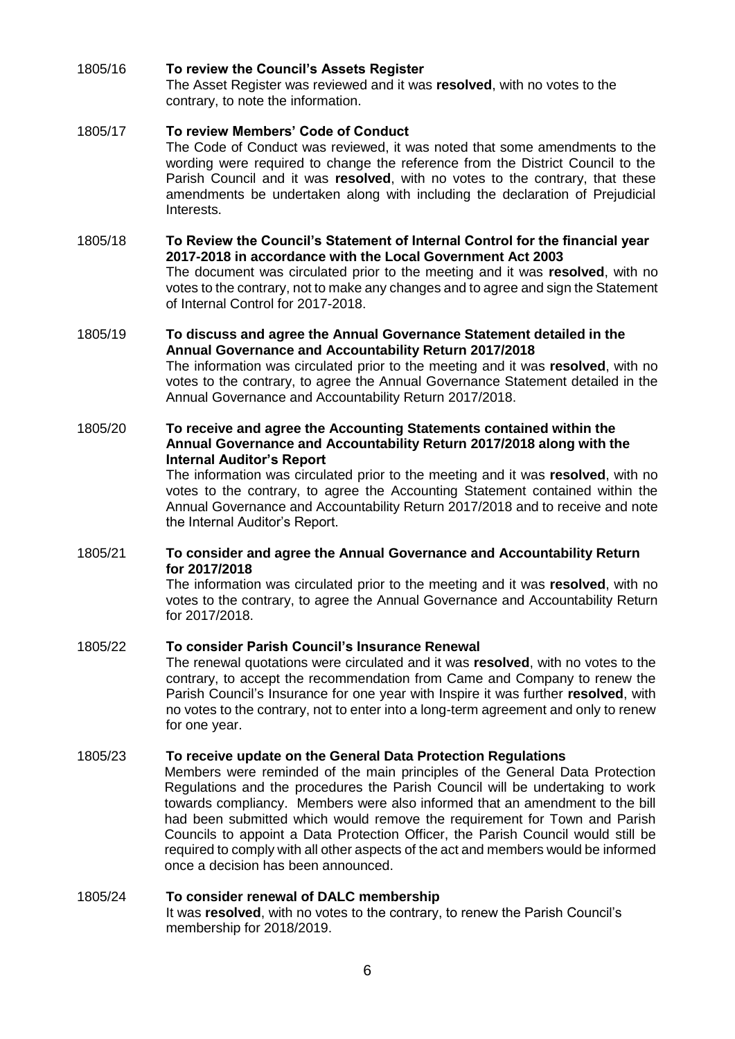# 1805/16 **To review the Council's Assets Register**

The Asset Register was reviewed and it was **resolved**, with no votes to the contrary, to note the information.

# 1805/17 **To review Members' Code of Conduct**

The Code of Conduct was reviewed, it was noted that some amendments to the wording were required to change the reference from the District Council to the Parish Council and it was **resolved**, with no votes to the contrary, that these amendments be undertaken along with including the declaration of Prejudicial Interests.

#### 1805/18 **To Review the Council's Statement of Internal Control for the financial year 2017-2018 in accordance with the Local Government Act 2003**  The document was circulated prior to the meeting and it was **resolved**, with no votes to the contrary, not to make any changes and to agree and sign the Statement of Internal Control for 2017-2018.

# 1805/19 **To discuss and agree the Annual Governance Statement detailed in the Annual Governance and Accountability Return 2017/2018**

The information was circulated prior to the meeting and it was **resolved**, with no votes to the contrary, to agree the Annual Governance Statement detailed in the Annual Governance and Accountability Return 2017/2018.

# 1805/20 **To receive and agree the Accounting Statements contained within the Annual Governance and Accountability Return 2017/2018 along with the Internal Auditor's Report**

The information was circulated prior to the meeting and it was **resolved**, with no votes to the contrary, to agree the Accounting Statement contained within the Annual Governance and Accountability Return 2017/2018 and to receive and note the Internal Auditor's Report.

## 1805/21 **To consider and agree the Annual Governance and Accountability Return for 2017/2018**

The information was circulated prior to the meeting and it was **resolved**, with no votes to the contrary, to agree the Annual Governance and Accountability Return for 2017/2018.

# 1805/22 **To consider Parish Council's Insurance Renewal**

The renewal quotations were circulated and it was **resolved**, with no votes to the contrary, to accept the recommendation from Came and Company to renew the Parish Council's Insurance for one year with Inspire it was further **resolved**, with no votes to the contrary, not to enter into a long-term agreement and only to renew for one year.

## 1805/23 **To receive update on the General Data Protection Regulations**

Members were reminded of the main principles of the General Data Protection Regulations and the procedures the Parish Council will be undertaking to work towards compliancy. Members were also informed that an amendment to the bill had been submitted which would remove the requirement for Town and Parish Councils to appoint a Data Protection Officer, the Parish Council would still be required to comply with all other aspects of the act and members would be informed once a decision has been announced.

### 1805/24 **To consider renewal of DALC membership**  It was **resolved**, with no votes to the contrary, to renew the Parish Council's membership for 2018/2019.